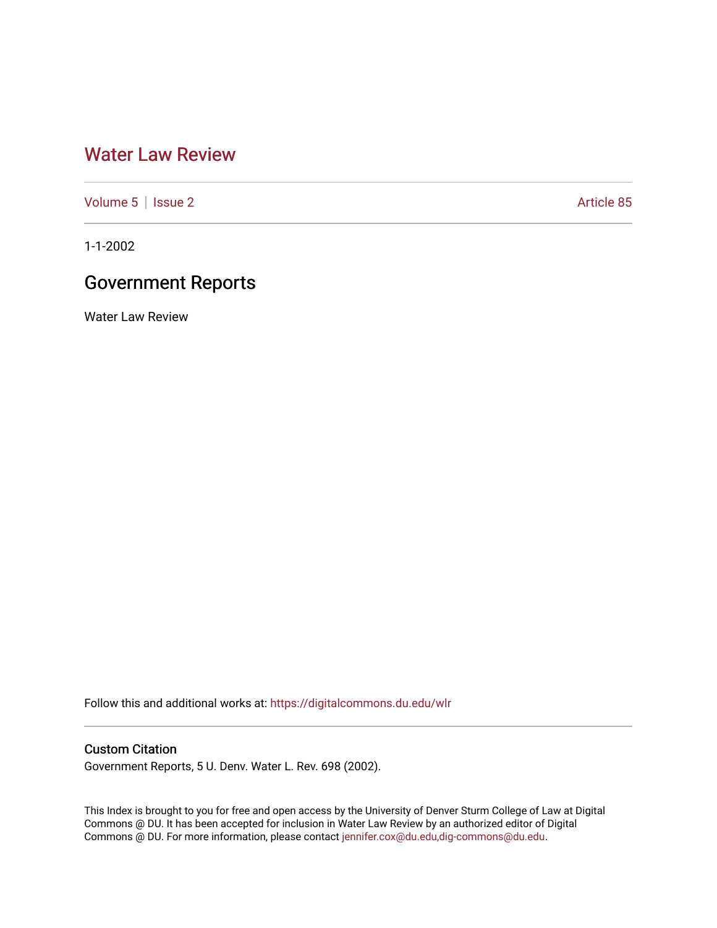## [Water Law Review](https://digitalcommons.du.edu/wlr)

[Volume 5](https://digitalcommons.du.edu/wlr/vol5) | [Issue 2](https://digitalcommons.du.edu/wlr/vol5/iss2) Article 85

1-1-2002

## Government Reports

Water Law Review

Follow this and additional works at: [https://digitalcommons.du.edu/wlr](https://digitalcommons.du.edu/wlr?utm_source=digitalcommons.du.edu%2Fwlr%2Fvol5%2Fiss2%2F85&utm_medium=PDF&utm_campaign=PDFCoverPages) 

## Custom Citation

Government Reports, 5 U. Denv. Water L. Rev. 698 (2002).

This Index is brought to you for free and open access by the University of Denver Sturm College of Law at Digital Commons @ DU. It has been accepted for inclusion in Water Law Review by an authorized editor of Digital Commons @ DU. For more information, please contact [jennifer.cox@du.edu,dig-commons@du.edu.](mailto:jennifer.cox@du.edu,dig-commons@du.edu)